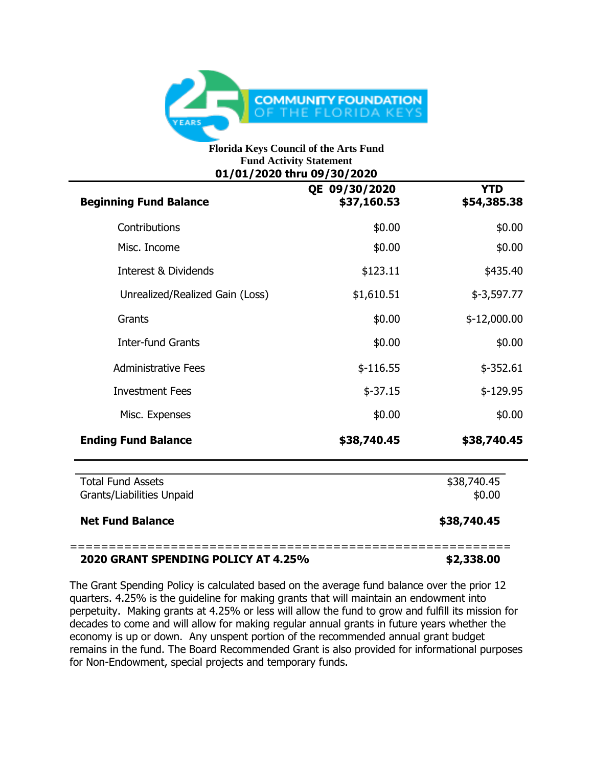

## **Florida Keys Council of the Arts Fund Fund Activity Statement 01/01/2020 thru 09/30/2020**

| <b>Beginning Fund Balance</b>                         | QE 09/30/2020<br>\$37,160.53 | <b>YTD</b><br>\$54,385.38 |
|-------------------------------------------------------|------------------------------|---------------------------|
| Contributions                                         | \$0.00                       | \$0.00                    |
| Misc. Income                                          | \$0.00                       | \$0.00                    |
| <b>Interest &amp; Dividends</b>                       | \$123.11                     | \$435.40                  |
| Unrealized/Realized Gain (Loss)                       | \$1,610.51                   | $$-3,597.77$              |
| Grants                                                | \$0.00                       | $$-12,000.00$             |
| <b>Inter-fund Grants</b>                              | \$0.00                       | \$0.00                    |
| <b>Administrative Fees</b>                            | $$-116.55$                   | $$-352.61$                |
| <b>Investment Fees</b>                                | $$-37.15$                    | $$-129.95$                |
| Misc. Expenses                                        | \$0.00                       | \$0.00                    |
| <b>Ending Fund Balance</b>                            | \$38,740.45                  | \$38,740.45               |
| <b>Total Fund Assets</b><br>Grants/Liabilities Unpaid |                              | \$38,740.45<br>\$0.00     |
| <b>Net Fund Balance</b>                               |                              | \$38,740.45               |

## **2020 GRANT SPENDING POLICY AT 4.25% \$2,338.00**

The Grant Spending Policy is calculated based on the average fund balance over the prior 12 quarters. 4.25% is the guideline for making grants that will maintain an endowment into perpetuity. Making grants at 4.25% or less will allow the fund to grow and fulfill its mission for decades to come and will allow for making regular annual grants in future years whether the economy is up or down. Any unspent portion of the recommended annual grant budget remains in the fund. The Board Recommended Grant is also provided for informational purposes for Non-Endowment, special projects and temporary funds.